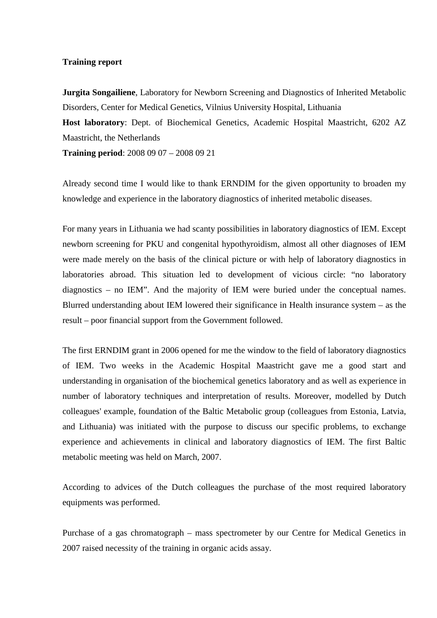## **Training report**

**Jurgita Songailiene**, Laboratory for Newborn Screening and Diagnostics of Inherited Metabolic Disorders, Center for Medical Genetics, Vilnius University Hospital, Lithuania **Host laboratory**: Dept. of Biochemical Genetics, Academic Hospital Maastricht, 6202 AZ Maastricht, the Netherlands **Training period**: 2008 09 07 – 2008 09 21

Already second time I would like to thank ERNDIM for the given opportunity to broaden my knowledge and experience in the laboratory diagnostics of inherited metabolic diseases.

For many years in Lithuania we had scanty possibilities in laboratory diagnostics of IEM. Except newborn screening for PKU and congenital hypothyroidism, almost all other diagnoses of IEM were made merely on the basis of the clinical picture or with help of laboratory diagnostics in laboratories abroad. This situation led to development of vicious circle: "no laboratory diagnostics – no IEM". And the majority of IEM were buried under the conceptual names. Blurred understanding about IEM lowered their significance in Health insurance system – as the result – poor financial support from the Government followed.

The first ERNDIM grant in 2006 opened for me the window to the field of laboratory diagnostics of IEM. Two weeks in the Academic Hospital Maastricht gave me a good start and understanding in organisation of the biochemical genetics laboratory and as well as experience in number of laboratory techniques and interpretation of results. Moreover, modelled by Dutch colleagues' example, foundation of the Baltic Metabolic group (colleagues from Estonia, Latvia, and Lithuania) was initiated with the purpose to discuss our specific problems, to exchange experience and achievements in clinical and laboratory diagnostics of IEM. The first Baltic metabolic meeting was held on March, 2007.

According to advices of the Dutch colleagues the purchase of the most required laboratory equipments was performed.

Purchase of a gas chromatograph – mass spectrometer by our Centre for Medical Genetics in 2007 raised necessity of the training in organic acids assay.